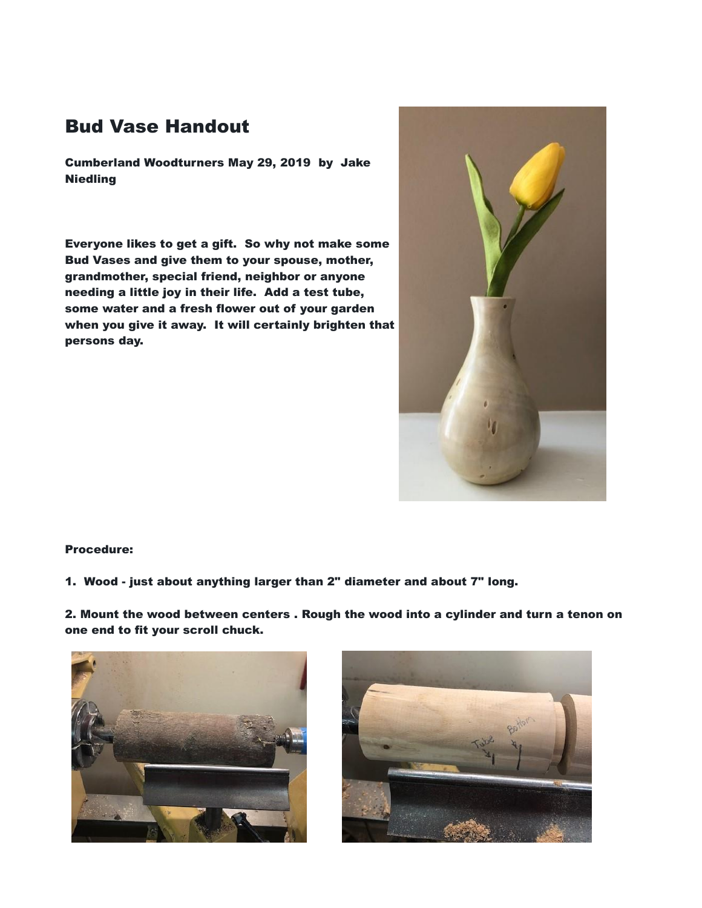## Bud Vase Handout

Cumberland Woodturners May 29, 2019 by Jake **Niedling** 

Everyone likes to get a gift. So why not make some Bud Vases and give them to your spouse, mother, grandmother, special friend, neighbor or anyone needing a little joy in their life. Add a test tube, some water and a fresh flower out of your garden when you give it away. It will certainly brighten that persons day.



## Procedure:

1. Wood - just about anything larger than 2" diameter and about 7" long.

2. Mount the wood between centers . Rough the wood into a cylinder and turn a tenon on one end to fit your scroll chuck.



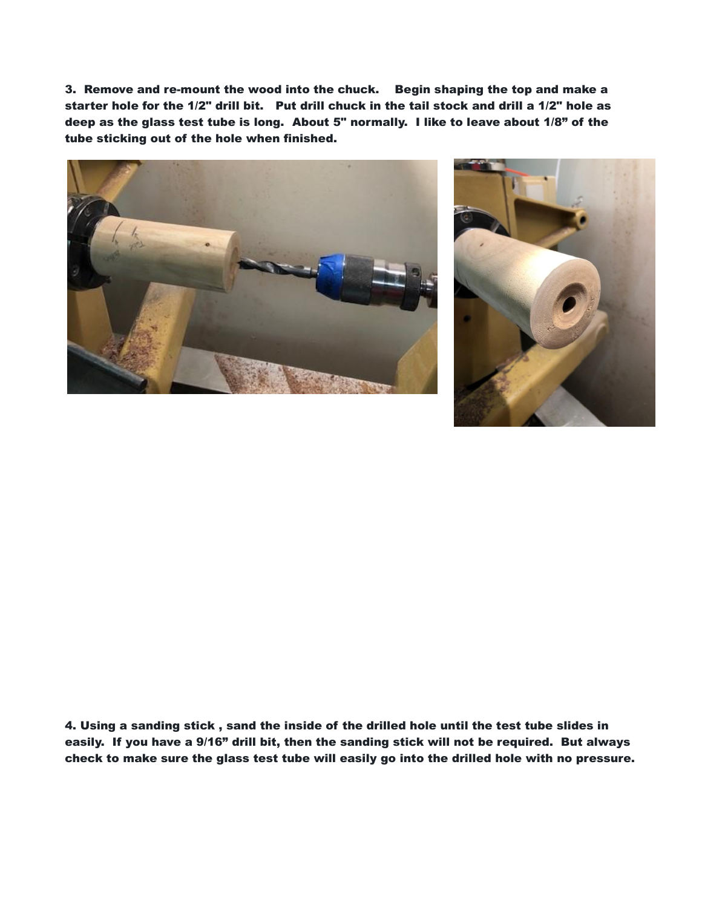3. Remove and re-mount the wood into the chuck. Begin shaping the top and make a starter hole for the 1/2" drill bit. Put drill chuck in the tail stock and drill a 1/2" hole as deep as the glass test tube is long. About 5" normally. I like to leave about 1/8" of the tube sticking out of the hole when finished.





4. Using a sanding stick , sand the inside of the drilled hole until the test tube slides in easily. If you have a 9/16" drill bit, then the sanding stick will not be required. But always check to make sure the glass test tube will easily go into the drilled hole with no pressure.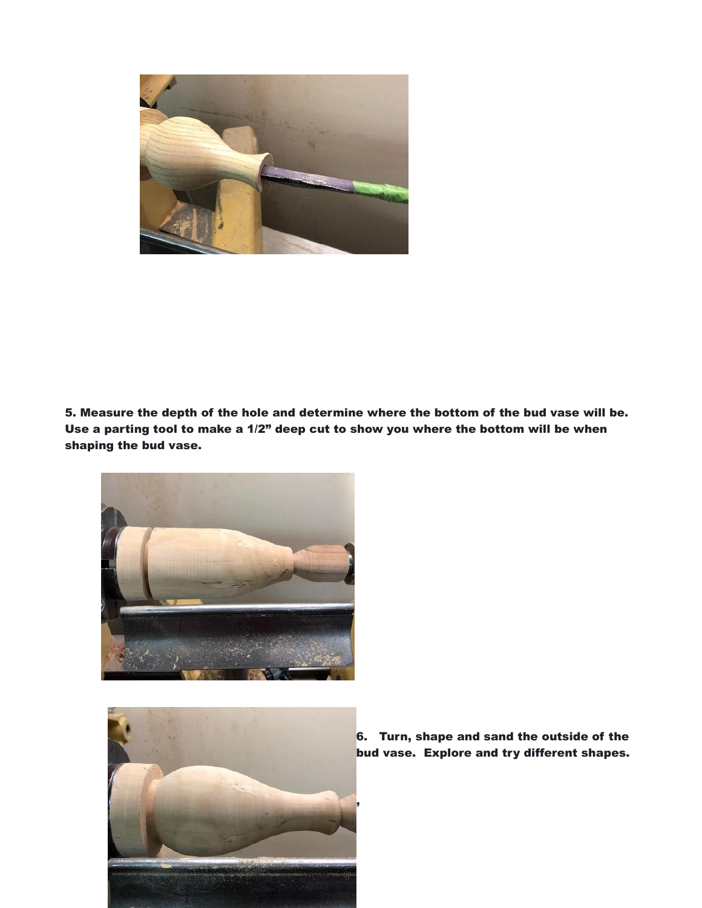

5. Measure the depth of the hole and determine where the bottom of the bud vase will be. Use a parting tool to make a 1/2" deep cut to show you where the bottom will be when shaping the bud vase.





6. Turn, shape and sand the outside of the bud vase. Explore and try different shapes.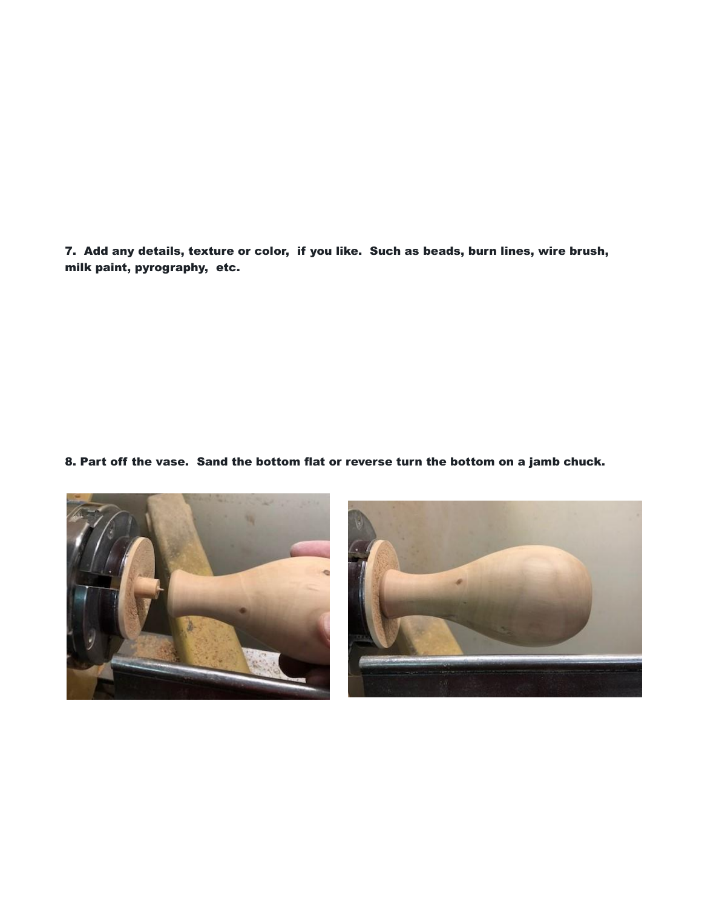7. Add any details, texture or color, if you like. Such as beads, burn lines, wire brush, milk paint, pyrography, etc.

8. Part off the vase. Sand the bottom flat or reverse turn the bottom on a jamb chuck.